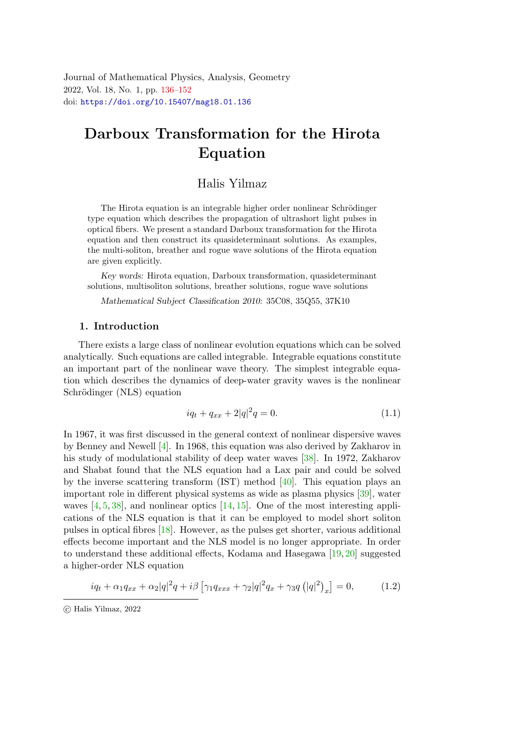<span id="page-0-0"></span>Journal of Mathematical Physics, Analysis, Geometry 2022, Vol. 18, No. 1, pp. [136](#page-0-0)[–152](#page-16-0) doi: <https://doi.org/10.15407/mag18.01.136>

# Darboux Transformation for the Hirota Equatio[n](#page-0-1)

# Halis Yilmaz

The Hirota equation is an integrable higher order nonlinear Schrödinger type equation which describes the propagation of ultrashort light pulses in optical fibers. We present a standard Darboux transformation for the Hirota equation and then construct its quasideterminant solutions. As examples, the multi-soliton, breather and rogue wave solutions of the Hirota equation are given explicitly.

Key words: Hirota equation, Darboux transformation, quasideterminant solutions, multisoliton solutions, breather solutions, rogue wave solutions

Mathematical Subject Classification 2010: 35C08, 35Q55, 37K10

### 1. Introduction

There exists a large class of nonlinear evolution equations which can be solved analytically. Such equations are called integrable. Integrable equations constitute an important part of the nonlinear wave theory. The simplest integrable equation which describes the dynamics of deep-water gravity waves is the nonlinear Schrödinger (NLS) equation

<span id="page-0-3"></span><span id="page-0-2"></span>
$$
iq_t + q_{xx} + 2|q|^2 q = 0.
$$
\n(1.1)

In 1967, it was first discussed in the general context of nonlinear dispersive waves by Benney and Newell [\[4\]](#page-14-0). In 1968, this equation was also derived by Zakharov in his study of modulational stability of deep water waves [\[38\]](#page-16-1). In 1972, Zakharov and Shabat found that the NLS equation had a Lax pair and could be solved by the inverse scattering transform (IST) method  $[40]$ . This equation plays an important role in different physical systems as wide as plasma physics [\[39\]](#page-16-3), water waves  $[4, 5, 38]$  $[4, 5, 38]$  $[4, 5, 38]$  $[4, 5, 38]$ , and nonlinear optics  $[14, 15]$  $[14, 15]$ . One of the most interesting applications of the NLS equation is that it can be employed to model short soliton pulses in optical fibres [\[18\]](#page-15-2). However, as the pulses get shorter, various additional effects become important and the NLS model is no longer appropriate. In order to understand these additional effects, Kodama and Hasegawa [\[19,](#page-15-3) [20\]](#page-15-4) suggested a higher-order NLS equation

$$
iq_{t} + \alpha_{1}q_{xx} + \alpha_{2}|q|^{2}q + i\beta \left[\gamma_{1}q_{xxx} + \gamma_{2}|q|^{2}q_{x} + \gamma_{3}q\left(|q|^{2}\right)_{x}\right] = 0, \qquad (1.2)
$$

<span id="page-0-1"></span>c Halis Yilmaz, 2022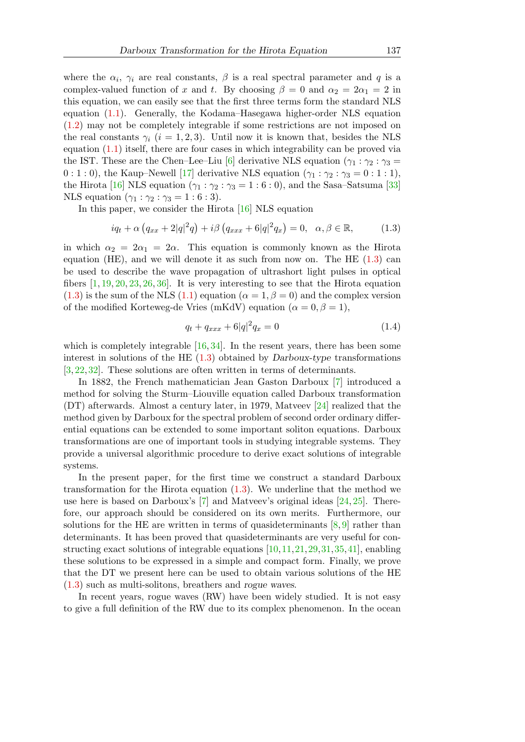where the  $\alpha_i$ ,  $\gamma_i$  are real constants,  $\beta$  is a real spectral parameter and q is a complex-valued function of x and t. By choosing  $\beta = 0$  and  $\alpha_2 = 2\alpha_1 = 2$  in this equation, we can easily see that the first three terms form the standard NLS equation [\(1.1\)](#page-0-2). Generally, the Kodama–Hasegawa higher-order NLS equation [\(1.2\)](#page-0-3) may not be completely integrable if some restrictions are not imposed on the real constants  $\gamma_i$  (i = 1, 2, 3). Until now it is known that, besides the NLS equation [\(1.1\)](#page-0-2) itself, there are four cases in which integrability can be proved via the IST. These are the Chen–Lee–Liu [\[6\]](#page-14-2) derivative NLS equation ( $\gamma_1 : \gamma_2 : \gamma_3 =$  $0:1:0$ , the Kaup–Newell [\[17\]](#page-15-5) derivative NLS equation  $(\gamma_1 : \gamma_2 : \gamma_3 = 0:1:1)$ , the Hirota [\[16\]](#page-15-6) NLS equation  $(\gamma_1 : \gamma_2 : \gamma_3 = 1 : 6 : 0)$ , and the Sasa–Satsuma [\[33\]](#page-16-4) NLS equation  $(\gamma_1 : \gamma_2 : \gamma_3 = 1 : 6 : 3)$ .

In this paper, we consider the Hirota [\[16\]](#page-15-6) NLS equation

$$
iq_t + \alpha \left( q_{xx} + 2|q|^2 q \right) + i\beta \left( q_{xxx} + 6|q|^2 q_x \right) = 0, \ \ \alpha, \beta \in \mathbb{R}, \tag{1.3}
$$

in which  $\alpha_2 = 2\alpha_1 = 2\alpha$ . This equation is commonly known as the Hirota equation (HE), and we will denote it as such from now on. The HE  $(1.3)$  can be used to describe the wave propagation of ultrashort light pulses in optical fibers  $[1, 19, 20, 23, 26, 36]$  $[1, 19, 20, 23, 26, 36]$  $[1, 19, 20, 23, 26, 36]$  $[1, 19, 20, 23, 26, 36]$  $[1, 19, 20, 23, 26, 36]$  $[1, 19, 20, 23, 26, 36]$  $[1, 19, 20, 23, 26, 36]$  $[1, 19, 20, 23, 26, 36]$  $[1, 19, 20, 23, 26, 36]$  $[1, 19, 20, 23, 26, 36]$ . It is very interesting to see that the Hirota equation  $(1.3)$  is the sum of the NLS  $(1.1)$  equation  $(\alpha = 1, \beta = 0)$  and the complex version of the modified Korteweg-de Vries (mKdV) equation ( $\alpha = 0, \beta = 1$ ),

<span id="page-1-0"></span>
$$
q_t + q_{xxx} + 6|q|^2 q_x = 0 \tag{1.4}
$$

which is completely integrable [\[16,](#page-15-6) [34\]](#page-16-6). In the resent years, there has been some interest in solutions of the HE  $(1.3)$  obtained by Darboux-type transformations [\[3,](#page-14-4) [22,](#page-15-9) [32\]](#page-16-7). These solutions are often written in terms of determinants.

In 1882, the French mathematician Jean Gaston Darboux [\[7\]](#page-14-5) introduced a method for solving the Sturm–Liouville equation called Darboux transformation (DT) afterwards. Almost a century later, in 1979, Matveev [\[24\]](#page-15-10) realized that the method given by Darboux for the spectral problem of second order ordinary differential equations can be extended to some important soliton equations. Darboux transformations are one of important tools in studying integrable systems. They provide a universal algorithmic procedure to derive exact solutions of integrable systems.

In the present paper, for the first time we construct a standard Darboux transformation for the Hirota equation [\(1.3\)](#page-1-0). We underline that the method we use here is based on Darboux's  $[7]$  and Matveev's original ideas  $[24, 25]$  $[24, 25]$ . Therefore, our approach should be considered on its own merits. Furthermore, our solutions for the HE are written in terms of quasideterminants  $[8, 9]$  $[8, 9]$  rather than determinants. It has been proved that quasideterminants are very useful for constructing exact solutions of integrable equations [\[10,](#page-14-8)[11,](#page-14-9)[21,](#page-15-12)[29,](#page-15-13)[31,](#page-16-8)[35,](#page-16-9)[41\]](#page-16-10), enabling these solutions to be expressed in a simple and compact form. Finally, we prove that the DT we present here can be used to obtain various solutions of the HE [\(1.3\)](#page-1-0) such as multi-solitons, breathers and rogue waves.

In recent years, rogue waves (RW) have been widely studied. It is not easy to give a full definition of the RW due to its complex phenomenon. In the ocean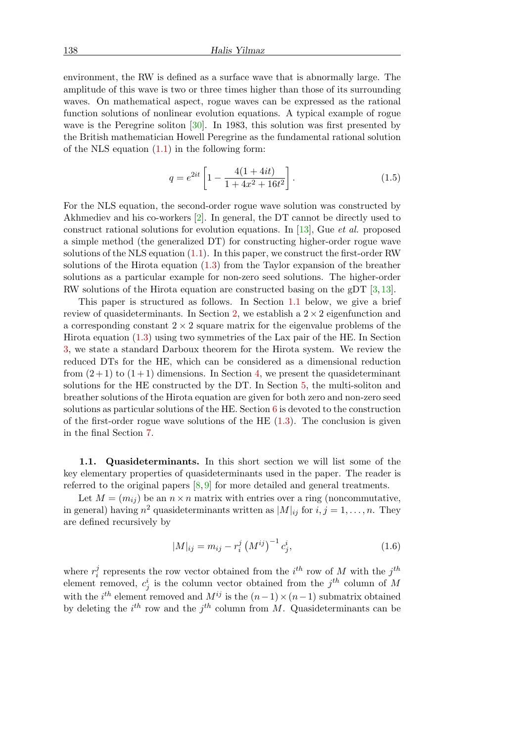environment, the RW is defined as a surface wave that is abnormally large. The amplitude of this wave is two or three times higher than those of its surrounding waves. On mathematical aspect, rogue waves can be expressed as the rational function solutions of nonlinear evolution equations. A typical example of rogue wave is the Peregrine soliton [\[30\]](#page-15-14). In 1983, this solution was first presented by the British mathematician Howell Peregrine as the fundamental rational solution of the NLS equation  $(1.1)$  in the following form:

$$
q = e^{2it} \left[ 1 - \frac{4(1+4it)}{1+4x^2+16t^2} \right].
$$
 (1.5)

For the NLS equation, the second-order rogue wave solution was constructed by Akhmediev and his co-workers [\[2\]](#page-14-10). In general, the DT cannot be directly used to construct rational solutions for evolution equations. In [\[13\]](#page-15-15), Gue et al. proposed a simple method (the generalized DT) for constructing higher-order rogue wave solutions of the NLS equation [\(1.1\)](#page-0-2). In this paper, we construct the first-order RW solutions of the Hirota equation [\(1.3\)](#page-1-0) from the Taylor expansion of the breather solutions as a particular example for non-zero seed solutions. The higher-order RW solutions of the Hirota equation are constructed basing on the gDT [\[3,](#page-14-4) [13\]](#page-15-15).

This paper is structured as follows. In Section [1.1](#page-2-0) below, we give a brief review of quasideterminants. In Section [2,](#page-3-0) we establish a  $2 \times 2$  eigenfunction and a corresponding constant  $2 \times 2$  square matrix for the eigenvalue problems of the Hirota equation [\(1.3\)](#page-1-0) using two symmetries of the Lax pair of the HE. In Section [3,](#page-4-0) we state a standard Darboux theorem for the Hirota system. We review the reduced DTs for the HE, which can be considered as a dimensional reduction from  $(2+1)$  to  $(1+1)$  dimensions. In Section [4,](#page-6-0) we present the quasideterminant solutions for the HE constructed by the DT. In Section [5,](#page-9-0) the multi-soliton and breather solutions of the Hirota equation are given for both zero and non-zero seed solutions as particular solutions of the HE. Section [6](#page-12-0) is devoted to the construction of the first-order rogue wave solutions of the HE  $(1.3)$ . The conclusion is given in the final Section [7.](#page-14-11)

<span id="page-2-0"></span>1.1. Quasideterminants. In this short section we will list some of the key elementary properties of quasideterminants used in the paper. The reader is referred to the original papers  $[8, 9]$  $[8, 9]$  for more detailed and general treatments.

Let  $M = (m_{ij})$  be an  $n \times n$  matrix with entries over a ring (noncommutative, in general) having  $n^2$  quasideterminants written as  $|M|_{ij}$  for  $i, j = 1, ..., n$ . They are defined recursively by

$$
|M|_{ij} = m_{ij} - r_i^j \left(M^{ij}\right)^{-1} c_j^i, \tag{1.6}
$$

where  $r_i^j$  $i$  represents the row vector obtained from the  $i^{th}$  row of M with the  $j^{th}$ element removed,  $c_j^i$  is the column vector obtained from the  $j^{th}$  column of M with the  $i^{th}$  element removed and  $M^{ij}$  is the  $(n-1) \times (n-1)$  submatrix obtained by deleting the  $i^{th}$  row and the  $j^{th}$  column from M. Quasideterminants can be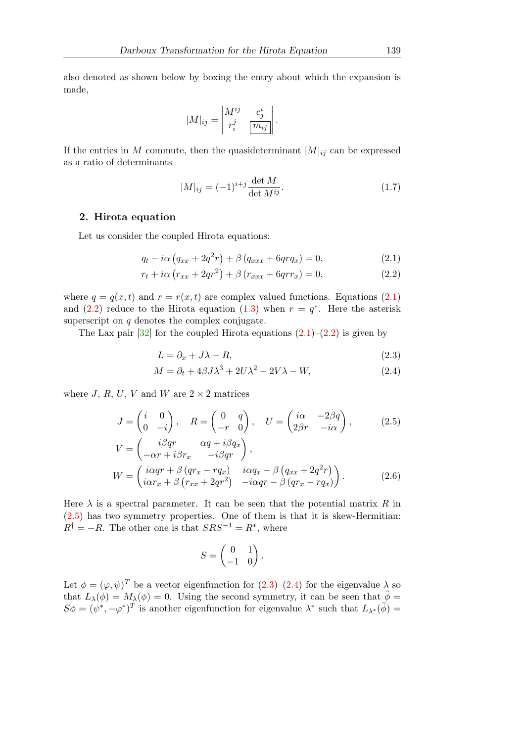also denoted as shown below by boxing the entry about which the expansion is made,

$$
|M|_{ij} = \begin{vmatrix} M^{ij} & c_j^i \\ r_i^j & \boxed{m_{ij}} \end{vmatrix}.
$$

If the entries in M commute, then the quasideterminant  $|M|_{ij}$  can be expressed as a ratio of determinants

<span id="page-3-2"></span><span id="page-3-1"></span>
$$
|M|_{ij} = (-1)^{i+j} \frac{\det M}{\det M^{ij}}.
$$
\n(1.7)

### <span id="page-3-0"></span>2. Hirota equation

Let us consider the coupled Hirota equations:

$$
q_t - i\alpha \left( q_{xx} + 2q^2 r \right) + \beta \left( q_{xxx} + 6qrq_x \right) = 0, \tag{2.1}
$$

$$
r_t + i\alpha \left(r_{xx} + 2qr^2\right) + \beta \left(r_{xxx} + 6qrr_x\right) = 0,\tag{2.2}
$$

where  $q = q(x, t)$  and  $r = r(x, t)$  are complex valued functions. Equations [\(2.1\)](#page-3-1) and [\(2.2\)](#page-3-2) reduce to the Hirota equation [\(1.3\)](#page-1-0) when  $r = q^*$ . Here the asterisk superscript on  $q$  denotes the complex conjugate.

The Lax pair  $[32]$  for the coupled Hirota equations  $(2.1)$ – $(2.2)$  is given by

<span id="page-3-5"></span><span id="page-3-4"></span>
$$
L = \partial_x + J\lambda - R,\tag{2.3}
$$

$$
M = \partial_t + 4\beta J \lambda^3 + 2U\lambda^2 - 2V\lambda - W,\tag{2.4}
$$

where J, R, U, V and W are  $2 \times 2$  matrices

$$
J = \begin{pmatrix} i & 0 \\ 0 & -i \end{pmatrix}, \quad R = \begin{pmatrix} 0 & q \\ -r & 0 \end{pmatrix}, \quad U = \begin{pmatrix} i\alpha & -2\beta q \\ 2\beta r & -i\alpha \end{pmatrix}, \quad (2.5)
$$

$$
V = \begin{pmatrix} i\beta qr & \alpha q + i\beta q_x \\ -\alpha r + i\beta r_x & -i\beta qr \end{pmatrix},
$$

$$
W = \begin{pmatrix} i\alpha qr + \beta (qr_x - rq_x) & i\alpha q_x - \beta (q_{xx} + 2q^2r) \\ i\alpha r_x + \beta (r_{xx} + 2qr^2) & -i\alpha qr - \beta (qr_x - rq_x) \end{pmatrix}.
$$
(2.6)

Here  $\lambda$  is a spectral parameter. It can be seen that the potential matrix R in [\(2.5\)](#page-3-3) has two symmetry properties. One of them is that it is skew-Hermitian:  $R^{\dagger} = -R$ . The other one is that  $SRS^{-1} = R^*$ , where

<span id="page-3-6"></span><span id="page-3-3"></span>
$$
S = \begin{pmatrix} 0 & 1 \\ -1 & 0 \end{pmatrix}.
$$

Let  $\phi = (\varphi, \psi)^T$  be a vector eigenfunction for  $(2.3)$ – $(2.4)$  for the eigenvalue  $\lambda$  so that  $L_{\lambda}(\phi) = M_{\lambda}(\phi) = 0$ . Using the second symmetry, it can be seen that  $\phi =$  $S\phi = (\psi^*, -\varphi^*)^T$  is another eigenfunction for eigenvalue  $\lambda^*$  such that  $L_{\lambda^*}(\tilde{\phi}) =$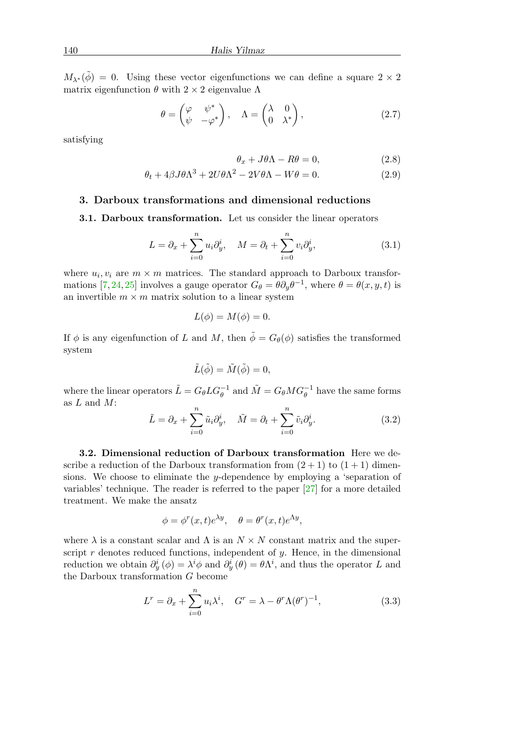$M_{\lambda^*}(\tilde{\phi}) = 0$ . Using these vector eigenfunctions we can define a square  $2 \times 2$ matrix eigenfunction  $\theta$  with 2 × 2 eigenvalue Λ

$$
\theta = \begin{pmatrix} \varphi & \psi^* \\ \psi & -\varphi^* \end{pmatrix}, \quad \Lambda = \begin{pmatrix} \lambda & 0 \\ 0 & \lambda^* \end{pmatrix}, \tag{2.7}
$$

satisfying

<span id="page-4-3"></span><span id="page-4-2"></span><span id="page-4-1"></span>
$$
\theta_x + J\theta \Lambda - R\theta = 0, \qquad (2.8)
$$

$$
\theta_t + 4\beta J \theta \Lambda^3 + 2U \theta \Lambda^2 - 2V \theta \Lambda - W \theta = 0. \tag{2.9}
$$

# <span id="page-4-0"></span>3. Darboux transformations and dimensional reductions

3.1. Darboux transformation. Let us consider the linear operators

$$
L = \partial_x + \sum_{i=0}^n u_i \partial_y^i, \quad M = \partial_t + \sum_{i=0}^n v_i \partial_y^i,
$$
 (3.1)

where  $u_i, v_i$  are  $m \times m$  matrices. The standard approach to Darboux transfor-mations [\[7,](#page-14-5) [24,](#page-15-10) [25\]](#page-15-11) involves a gauge operator  $G_{\theta} = \theta \partial_y \theta^{-1}$ , where  $\theta = \theta(x, y, t)$  is an invertible  $m \times m$  matrix solution to a linear system

$$
L(\phi) = M(\phi) = 0.
$$

If  $\phi$  is any eigenfunction of L and M, then  $\tilde{\phi} = G_{\theta}(\phi)$  satisfies the transformed system

$$
\tilde{L}(\tilde{\phi}) = \tilde{M}(\tilde{\phi}) = 0,
$$

where the linear operators  $\tilde{L} = G_{\theta} L G_{\theta}^{-1}$  and  $\tilde{M} = G_{\theta} M G_{\theta}^{-1}$  have the same forms as  $L$  and  $M$ :

$$
\tilde{L} = \partial_x + \sum_{i=0}^n \tilde{u}_i \partial_y^i, \quad \tilde{M} = \partial_t + \sum_{i=0}^n \tilde{v}_i \partial_y^i.
$$
\n(3.2)

3.2. Dimensional reduction of Darboux transformation Here we describe a reduction of the Darboux transformation from  $(2 + 1)$  to  $(1 + 1)$  dimensions. We choose to eliminate the y-dependence by employing a 'separation of variables' technique. The reader is referred to the paper [\[27\]](#page-15-16) for a more detailed treatment. We make the ansatz

$$
\phi = \phi^r(x, t)e^{\lambda y}, \quad \theta = \theta^r(x, t)e^{\Lambda y},
$$

where  $\lambda$  is a constant scalar and  $\Lambda$  is an  $N \times N$  constant matrix and the superscript  $r$  denotes reduced functions, independent of  $y$ . Hence, in the dimensional reduction we obtain  $\partial_y^i(\phi) = \lambda^i \phi$  and  $\partial_y^i(\theta) = \theta \Lambda^i$ , and thus the operator L and the Darboux transformation G become

$$
L^r = \partial_x + \sum_{i=0}^n u_i \lambda^i, \quad G^r = \lambda - \theta^r \Lambda (\theta^r)^{-1}, \tag{3.3}
$$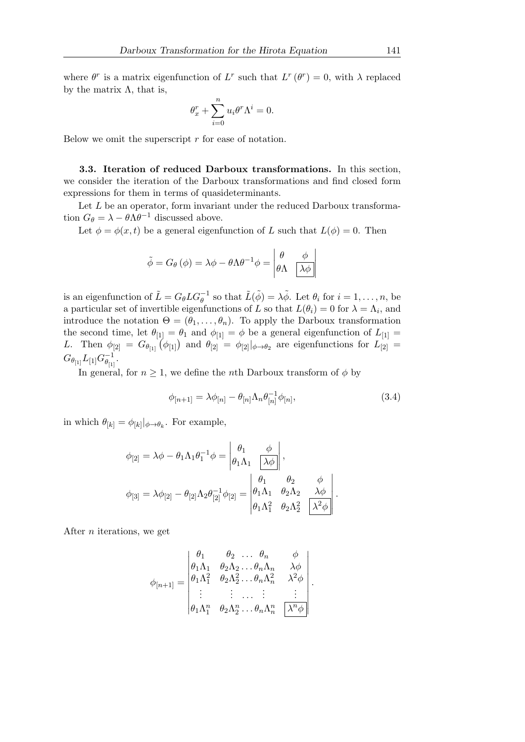where  $\theta^r$  is a matrix eigenfunction of L<sup>r</sup> such that  $L^r(\theta^r) = 0$ , with  $\lambda$  replaced by the matrix  $\Lambda$ , that is,

$$
\theta_x^r + \sum_{i=0}^n u_i \theta^r \Lambda^i = 0.
$$

Below we omit the superscript  $r$  for ease of notation.

3.3. Iteration of reduced Darboux transformations. In this section, we consider the iteration of the Darboux transformations and find closed form expressions for them in terms of quasideterminants.

Let  $L$  be an operator, form invariant under the reduced Darboux transformation  $G_{\theta} = \lambda - \theta \Lambda \theta^{-1}$  discussed above.

Let  $\phi = \phi(x, t)$  be a general eigenfunction of L such that  $L(\phi) = 0$ . Then

$$
\tilde{\phi} = G_{\theta}(\phi) = \lambda \phi - \theta \Lambda \theta^{-1} \phi = \begin{vmatrix} \theta & \phi \\ \theta \Lambda & \lambda \phi \end{vmatrix}
$$

is an eigenfunction of  $\tilde{L} = G_{\theta} L G_{\theta}^{-1}$  so that  $\tilde{L}(\tilde{\phi}) = \lambda \tilde{\phi}$ . Let  $\theta_i$  for  $i = 1, \ldots, n$ , be a particular set of invertible eigenfunctions of L so that  $L(\theta_i) = 0$  for  $\lambda = \Lambda_i$ , and introduce the notation  $\Theta = (\theta_1, \ldots, \theta_n)$ . To apply the Darboux transformation the second time, let  $\theta_{[1]} = \theta_1$  and  $\phi_{[1]} = \phi$  be a general eigenfunction of  $L_{[1]} =$ L. Then  $\phi_{[2]} = G_{\theta_{[1]}}(\phi_{[1]})$  and  $\theta_{[2]} = \phi_{[2]}|_{\phi \to \theta_2}$  are eigenfunctions for  $L_{[2]} =$  $G_{\theta_{[1]}} L_{[1]} G_{\theta_{[1]}}^{-1}$  $\frac{-1}{\theta_{[1]}}.$ 

In general, for  $n \geq 1$ , we define the *n*th Darboux transform of  $\phi$  by

$$
\phi_{[n+1]} = \lambda \phi_{[n]} - \theta_{[n]} \Lambda_n \theta_{[n]}^{-1} \phi_{[n]},
$$
\n(3.4)

in which  $\theta_{[k]} = \phi_{[k]}|_{\phi \to \theta_k}$ . For example,

$$
\phi_{[2]} = \lambda \phi - \theta_1 \Lambda_1 \theta_1^{-1} \phi = \begin{vmatrix} \theta_1 & \phi \\ \theta_1 \Lambda_1 & \lambda \phi \end{vmatrix},
$$

$$
\phi_{[3]} = \lambda \phi_{[2]} - \theta_{[2]} \Lambda_2 \theta_{[2]}^{-1} \phi_{[2]} = \begin{vmatrix} \theta_1 & \theta_2 & \phi \\ \theta_1 \Lambda_1 & \theta_2 \Lambda_2 & \lambda \phi \\ \theta_1 \Lambda_1^2 & \theta_2 \Lambda_2^2 & \lambda^2 \phi \end{vmatrix}.
$$

After n iterations, we get

$$
\phi_{[n+1]} = \begin{vmatrix}\n\theta_1 & \theta_2 & \dots & \theta_n & \phi \\
\theta_1 \Lambda_1 & \theta_2 \Lambda_2 & \dots & \theta_n \Lambda_n & \lambda \phi \\
\theta_1 \Lambda_1^2 & \theta_2 \Lambda_2^2 & \dots & \theta_n \Lambda_n^2 & \lambda^2 \phi \\
\vdots & \vdots & \dots & \vdots & \vdots \\
\theta_1 \Lambda_1^n & \theta_2 \Lambda_2^n & \dots & \theta_n \Lambda_n^n & \lambda^n \phi\n\end{vmatrix}.
$$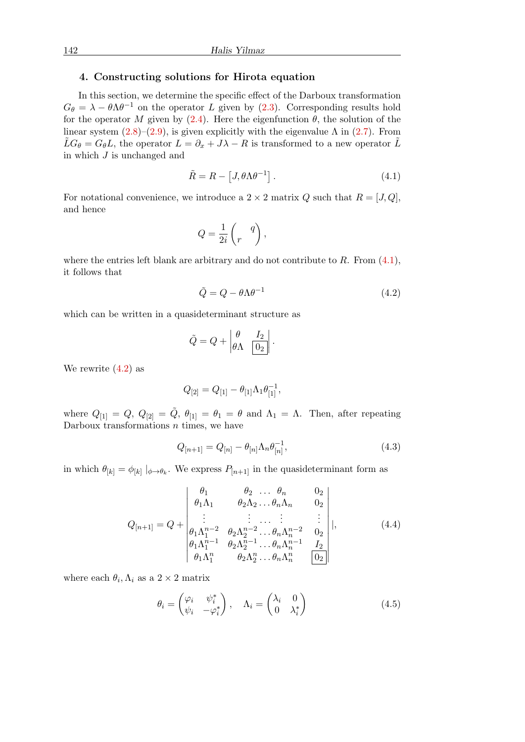# <span id="page-6-0"></span>4. Constructing solutions for Hirota equation

In this section, we determine the specific effect of the Darboux transformation  $G_{\theta} = \lambda - \theta \Lambda \theta^{-1}$  on the operator L given by [\(2.3\)](#page-3-4). Corresponding results hold for the operator M given by [\(2.4\)](#page-3-5). Here the eigenfunction  $\theta$ , the solution of the linear system  $(2.8)$ – $(2.9)$ , is given explicitly with the eigenvalue  $\Lambda$  in  $(2.7)$ . From  $\tilde{L}G_{\theta}=G_{\theta}L$ , the operator  $L=\partial_x+J\lambda-R$  is transformed to a new operator  $\tilde{L}$ in which  $J$  is unchanged and

<span id="page-6-1"></span>
$$
\tilde{R} = R - [J, \theta \Lambda \theta^{-1}]. \tag{4.1}
$$

For notational convenience, we introduce a  $2 \times 2$  matrix Q such that  $R = [J, Q]$ , and hence

$$
Q = \frac{1}{2i} \begin{pmatrix} q \\ r \end{pmatrix},
$$

where the entries left blank are arbitrary and do not contribute to  $R$ . From  $(4.1)$ , it follows that

<span id="page-6-2"></span>
$$
\tilde{Q} = Q - \theta \Lambda \theta^{-1} \tag{4.2}
$$

which can be written in a quasideterminant structure as

$$
\tilde{Q} = Q + \begin{vmatrix} \theta & I_2 \\ \theta \Lambda & \boxed{0_2} \end{vmatrix}.
$$

We rewrite [\(4.2\)](#page-6-2) as

$$
Q_{[2]} = Q_{[1]} - \theta_{[1]} \Lambda_1 \theta_{[1]}^{-1},
$$

where  $Q_{[1]} = Q$ ,  $Q_{[2]} = \tilde{Q}$ ,  $\theta_{[1]} = \theta_1 = \theta$  and  $\Lambda_1 = \Lambda$ . Then, after repeating Darboux transformations  $n$  times, we have

<span id="page-6-3"></span>
$$
Q_{[n+1]} = Q_{[n]} - \theta_{[n]} \Lambda_n \theta_{[n]}^{-1},
$$
\n(4.3)

in which  $\theta_{[k]} = \phi_{[k]} \mid_{\phi \to \theta_k}$ . We express  $P_{[n+1]}$  in the quasideterminant form as

$$
Q_{[n+1]} = Q + \begin{vmatrix} \theta_1 & \theta_2 & \dots & \theta_n & 0_2 \\ \theta_1 \Lambda_1 & \theta_2 \Lambda_2 & \dots & \theta_n \Lambda_n & 0_2 \\ \vdots & \vdots & \dots & \vdots & \vdots \\ \theta_1 \Lambda_1^{n-2} & \theta_2 \Lambda_2^{n-2} & \dots & \theta_n \Lambda_n^{n-2} & 0_2 \\ \theta_1 \Lambda_1^{n-1} & \theta_2 \Lambda_2^{n-1} & \dots & \theta_n \Lambda_n^{n-1} & I_2 \\ \theta_1 \Lambda_1^{n} & \theta_2 \Lambda_2^{n} & \dots & \theta_n \Lambda_n^{n} & 0_2 \end{vmatrix},
$$
(4.4)

where each  $\theta_i, \Lambda_i$  as a  $2 \times 2$  matrix

$$
\theta_i = \begin{pmatrix} \varphi_i & \psi_i^* \\ \psi_i & -\varphi_i^* \end{pmatrix}, \quad \Lambda_i = \begin{pmatrix} \lambda_i & 0 \\ 0 & \lambda_i^* \end{pmatrix}
$$
 (4.5)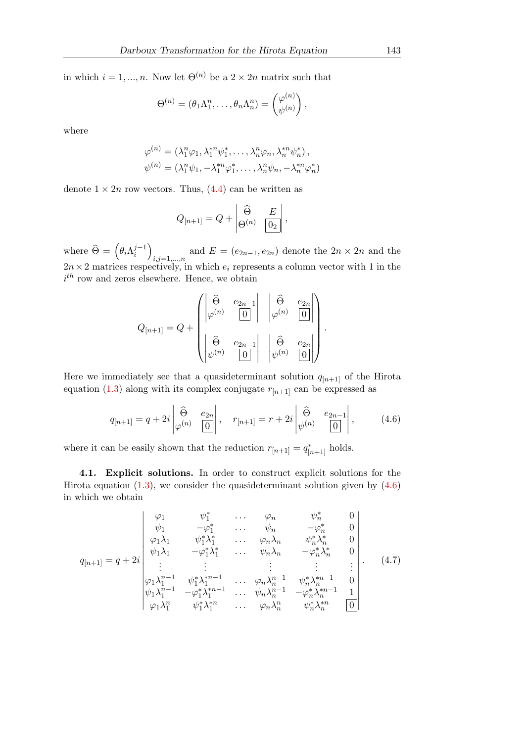in which  $i = 1, ..., n$ . Now let  $\Theta^{(n)}$  be a  $2 \times 2n$  matrix such that

$$
\Theta^{(n)} = (\theta_1 \Lambda_1^n, \dots, \theta_n \Lambda_n^n) = \begin{pmatrix} \varphi^{(n)} \\ \psi^{(n)} \end{pmatrix},
$$

where

$$
\varphi^{(n)} = (\lambda_1^n \varphi_1, \lambda_1^{*n} \psi_1^*, \dots, \lambda_n^n \varphi_n, \lambda_n^{*n} \psi_n^*),
$$
  

$$
\psi^{(n)} = (\lambda_1^n \psi_1, -\lambda_1^{*n} \varphi_1^*, \dots, \lambda_n^n \psi_n, -\lambda_n^{*n} \varphi_n^*)
$$

denote  $1 \times 2n$  row vectors. Thus, [\(4.4\)](#page-6-3) can be written as

$$
Q_{[n+1]} = Q + \begin{vmatrix} \widehat{\Theta} & E \\ \Theta^{(n)} & \boxed{0_2} \end{vmatrix},
$$

where  $\widehat{\Theta} = \left(\theta_i \Lambda_i^{j-1}\right)$  $\binom{j-1}{i}$ and  $E = (e_{2n-1}, e_{2n})$  denote the  $2n \times 2n$  and the  $2n \times 2$  matrices respectively, in which  $e_i$  represents a column vector with 1 in the  $i<sup>th</sup>$  row and zeros elsewhere. Hence, we obtain

<span id="page-7-0"></span>
$$
Q_{[n+1]} = Q + \begin{pmatrix} \begin{vmatrix} \widehat{\Theta} & e_{2n-1} \\ \varphi^{(n)} & \boxed{0} \end{vmatrix} & \begin{vmatrix} \widehat{\Theta} & e_{2n} \\ \varphi^{(n)} & \boxed{0} \end{vmatrix} \\ \begin{vmatrix} \widehat{\Theta} & e_{2n-1} \\ \psi^{(n)} & \boxed{0} \end{vmatrix} & \begin{vmatrix} \widehat{\Theta} & e_{2n} \\ \psi^{(n)} & \boxed{0} \end{vmatrix} \end{pmatrix}.
$$

Here we immediately see that a quasideterminant solution  $q_{[n+1]}$  of the Hirota equation [\(1.3\)](#page-1-0) along with its complex conjugate  $r_{[n+1]}$  can be expressed as

$$
q_{[n+1]} = q + 2i \begin{vmatrix} \widehat{\Theta} & e_{2n} \\ \varphi^{(n)} & 0 \end{vmatrix}, \quad r_{[n+1]} = r + 2i \begin{vmatrix} \widehat{\Theta} & e_{2n-1} \\ \psi^{(n)} & 0 \end{vmatrix}, \quad (4.6)
$$

where it can be easily shown that the reduction  $r_{[n+1]} = q_{[n+1]}^*$  holds.

4.1. Explicit solutions. In order to construct explicit solutions for the Hirota equation  $(1.3)$ , we consider the quasideterminant solution given by  $(4.6)$ in which we obtain

<span id="page-7-1"></span>
$$
q_{[n+1]} = q + 2i \begin{vmatrix} \varphi_1 & \psi_1^* & \cdots & \varphi_n & \psi_n^* & 0 \\ \psi_1 & -\varphi_1^* & \cdots & \psi_n & -\varphi_n^* & 0 \\ \varphi_1 \lambda_1 & \psi_1^* \lambda_1^* & \cdots & \varphi_n \lambda_n & \psi_n^* \lambda_n^* & 0 \\ \psi_1 \lambda_1 & -\varphi_1^* \lambda_1^* & \cdots & \psi_n \lambda_n & -\varphi_n^* \lambda_n^* & 0 \\ \vdots & \vdots & \vdots & \vdots & \vdots & \vdots \\ \varphi_1 \lambda_1^{n-1} & \psi_1^* \lambda_1^{*n-1} & \cdots & \varphi_n \lambda_n^{n-1} & \psi_n^* \lambda_n^{*n-1} & 0 \\ \psi_1 \lambda_1^{n-1} & -\varphi_1^* \lambda_1^{*n-1} & \cdots & \psi_n \lambda_n^{n-1} & -\varphi_n^* \lambda_n^{*n-1} & 1 \\ \varphi_1 \lambda_1^n & \psi_1^* \lambda_1^{*n} & \cdots & \varphi_n \lambda_n^n & \psi_n^* \lambda_n^{*n} & 0 \end{vmatrix} . \tag{4.7}
$$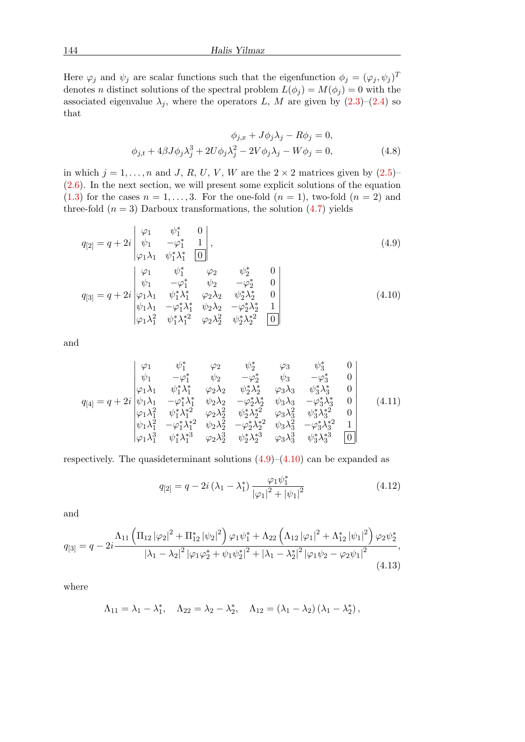Here  $\varphi_j$  and  $\psi_j$  are scalar functions such that the eigenfunction  $\phi_j = (\varphi_j, \psi_j)^T$ denotes n distinct solutions of the spectral problem  $L(\phi_j) = M(\phi_j) = 0$  with the associated eigenvalue  $\lambda_j$ , where the operators L, M are given by  $(2.3)$ – $(2.4)$  so that

<span id="page-8-3"></span><span id="page-8-0"></span>
$$
\phi_{j,x} + J\phi_j \lambda_j - R\phi_j = 0,
$$
  

$$
\phi_{j,t} + 4\beta J\phi_j \lambda_j^3 + 2U\phi_j \lambda_j^2 - 2V\phi_j \lambda_j - W\phi_j = 0,
$$
 (4.8)

in which  $j = 1, \ldots, n$  and J, R, U, V, W are the  $2 \times 2$  matrices given by  $(2.5)$ – [\(2.6\)](#page-3-6). In the next section, we will present some explicit solutions of the equation  $(1.3)$  for the cases  $n = 1, \ldots, 3$ . For the one-fold  $(n = 1)$ , two-fold  $(n = 2)$  and three-fold  $(n = 3)$  Darboux transformations, the solution  $(4.7)$  yields

$$
q_{[2]} = q + 2i \begin{vmatrix} \varphi_1 & \psi_1^* & 0 \\ \psi_1 & -\varphi_1^* & 1 \\ \varphi_1 \lambda_1 & \psi_1^* \lambda_1^* & 0 \end{vmatrix},
$$
  
\n
$$
q_{[3]} = q + 2i \begin{vmatrix} \varphi_1 & \psi_1^* & \varphi_2 & \psi_2^* & 0 \\ \psi_1 & -\varphi_1^* & \psi_2 & -\varphi_2^* & 0 \\ \psi_1^* \lambda_1^* & \psi_2^* \lambda_2^* & \psi_2^* \lambda_2^* & 0 \end{vmatrix}
$$
\n(4.10)

q[3] = q + 2i ϕ1λ<sup>1</sup> ψ 1λ <sup>1</sup> ϕ2λ<sup>2</sup> ψ 2λ 2 ψ1λ<sup>1</sup> −ϕ ∗ 1λ ∗ <sup>1</sup> ψ2λ<sup>2</sup> −ϕ ∗ 2λ ∗ 2 1 ϕ1λ 2 <sup>1</sup> ψ ∗ 1λ ∗2 <sup>1</sup> ϕ2λ 2 <sup>2</sup> ψ ∗ 2λ ∗2 2 0 

and

$$
q_{[4]} = q + 2i \begin{vmatrix} \varphi_1 & \psi_1^* & \varphi_2 & \psi_2^* & \varphi_3 & \psi_3^* & 0 \\ \psi_1 & -\varphi_1^* & \psi_2 & -\varphi_2^* & \psi_3 & -\varphi_3^* & 0 \\ \varphi_1 \lambda_1 & \psi_1^* \lambda_1^* & \varphi_2 \lambda_2 & \psi_2^* \lambda_2^* & \varphi_3 \lambda_3 & \psi_3^* \lambda_3^* & 0 \\ \psi_1 \lambda_1 & -\varphi_1^* \lambda_1^* & \psi_2 \lambda_2 & -\varphi_2^* \lambda_2^* & \psi_3 \lambda_3 & -\varphi_3^* \lambda_3^* & 0 \\ \varphi_1 \lambda_1^2 & \psi_1^* \lambda_1^* & \varphi_2 \lambda_2^2 & \psi_2^* \lambda_2^* & \varphi_3 \lambda_3^2 & \psi_3^* \lambda_3^* & 0 \\ \psi_1 \lambda_1^2 & -\varphi_1^* \lambda_1^{*2} & \psi_2 \lambda_2^2 & -\varphi_2^* \lambda_2^{*2} & \psi_3 \lambda_3^2 & -\varphi_3^* \lambda_3^{*2} & 1 \\ \varphi_1 \lambda_1^3 & \psi_1^* \lambda_1^{*3} & \varphi_2 \lambda_2^3 & \psi_2^* \lambda_2^{*3} & \varphi_3 \lambda_3^3 & \psi_3^* \lambda_3^{*3} & 0 \end{vmatrix}
$$
(4.11)

respectively. The quasideterminant solutions  $(4.9)$ – $(4.10)$  can be expanded as

<span id="page-8-5"></span><span id="page-8-4"></span><span id="page-8-2"></span><span id="page-8-1"></span>
$$
q_{[2]} = q - 2i\left(\lambda_1 - \lambda_1^*\right) \frac{\varphi_1 \psi_1^*}{|\varphi_1|^2 + |\psi_1|^2} \tag{4.12}
$$

and

$$
q_{[3]} = q - 2i \frac{\Lambda_{11} \left( \prod_{12} |\varphi_2|^2 + \prod_{12}^* |\psi_2|^2 \right) \varphi_1 \psi_1^* + \Lambda_{22} \left( \Lambda_{12} |\varphi_1|^2 + \Lambda_{12}^* |\psi_1|^2 \right) \varphi_2 \psi_2^*}{|\lambda_1 - \lambda_2|^2 |\varphi_1 \varphi_2^* + \psi_1 \psi_2^*|^2 + |\lambda_1 - \lambda_2^*|^2 |\varphi_1 \psi_2 - \varphi_2 \psi_1|^2},\tag{4.13}
$$

where

$$
\Lambda_{11} = \lambda_1 - \lambda_1^*, \quad \Lambda_{22} = \lambda_2 - \lambda_2^*, \quad \Lambda_{12} = (\lambda_1 - \lambda_2) (\lambda_1 - \lambda_2^*),
$$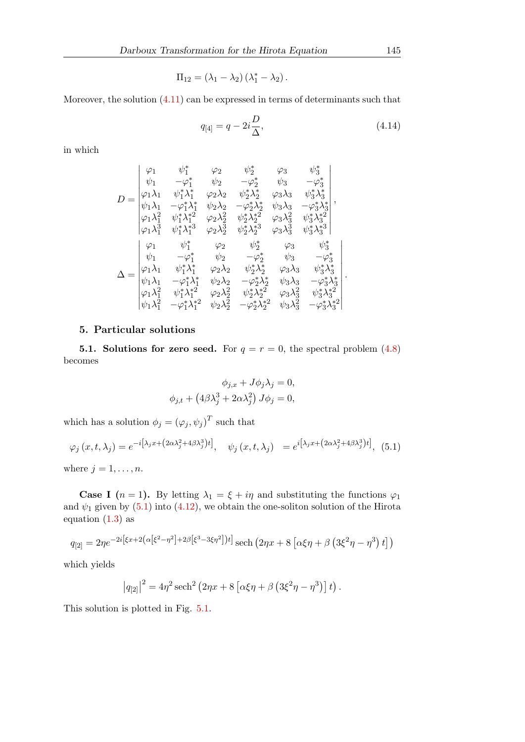$$
\Pi_{12} = (\lambda_1 - \lambda_2) (\lambda_1^* - \lambda_2).
$$

Moreover, the solution [\(4.11\)](#page-8-2) can be expressed in terms of determinants such that

<span id="page-9-2"></span>
$$
q_{[4]} = q - 2i\frac{D}{\Delta},\tag{4.14}
$$

in which

$$
D = \begin{vmatrix} \varphi_1 & \psi_1^* & \varphi_2 & \psi_2^* & \varphi_3 & \psi_3^* \\ \psi_1 & -\varphi_1^* & \psi_2 & -\varphi_2^* & \psi_3 & -\varphi_3^* \\ \varphi_1\lambda_1 & \psi_1^*\lambda_1^* & \varphi_2\lambda_2 & \psi_2^*\lambda_2^* & \varphi_3\lambda_3 & \psi_3^*\lambda_3^* \\ \psi_1\lambda_1 & -\varphi_1^*\lambda_1^* & \psi_2\lambda_2 & -\varphi_2^*\lambda_2^* & \psi_3\lambda_3 & -\varphi_3^*\lambda_3^* \\ \varphi_1\lambda_1^2 & \psi_1^*\lambda_1^{*2} & \varphi_2\lambda_2^2 & \psi_2^*\lambda_2^{*2} & \varphi_3\lambda_3^2 & \psi_3^*\lambda_3^{*2} \\ \varphi_1\lambda_1^3 & \psi_1^*\lambda_1^{*3} & \varphi_2\lambda_2^3 & \psi_2^*\lambda_2^{*3} & \varphi_3\lambda_3^3 & \psi_3^*\lambda_3^{*3} \\ \varphi_1 & \psi_1^* & \varphi_2 & \psi_2^* & \varphi_3 & \psi_3^* \\ \psi_1 & -\varphi_1^* & \psi_2 & -\varphi_2^* & \psi_3 & -\varphi_3^* \\ \psi_1\lambda_1 & \psi_1^*\lambda_1^* & \varphi_2\lambda_2 & \psi_2^*\lambda_2^* & \varphi_3\lambda_3 & \psi_3^*\lambda_3^* \\ \psi_1\lambda_1 & -\varphi_1^*\lambda_1^* & \psi_2\lambda_2 & -\varphi_2^*\lambda_2^* & \psi_3\lambda_3 & -\varphi_3^*\lambda_3^* \\ \varphi_1\lambda_1^2 & \psi_1^*\lambda_1^{*2} & \varphi_2\lambda_2^2 & \psi_2^*\lambda_2^{*2} & \varphi_3\lambda_3^2 & \psi_3^*\lambda_3^{*2} \\ \psi_1\lambda_1^2 & -\varphi_1^*\lambda_1^{*2} & \psi_2\lambda_2^2 & -\varphi_2^*\lambda_2^{*2} & \psi_3\lambda_3^2 & -\varphi_3^*\lambda_3^{*2} \end{vmatrix}
$$

# <span id="page-9-0"></span>5. Particular solutions

5.1. Solutions for zero seed. For  $q = r = 0$ , the spectral problem  $(4.8)$ becomes

<span id="page-9-1"></span>
$$
\phi_{j,x} + J\phi_j \lambda_j = 0,
$$
  

$$
\phi_{j,t} + (4\beta \lambda_j^3 + 2\alpha \lambda_j^2) J\phi_j = 0,
$$

which has a solution  $\phi_j = (\varphi_j, \psi_j)^T$  such that

$$
\varphi_j(x, t, \lambda_j) = e^{-i\left[\lambda_j x + \left(2\alpha \lambda_j^2 + 4\beta \lambda_j^3\right)t\right]}, \quad \psi_j(x, t, \lambda_j) = e^{i\left[\lambda_j x + \left(2\alpha \lambda_j^2 + 4\beta \lambda_j^3\right)t\right]},
$$
(5.1)

where  $j = 1, \ldots, n$ .

**Case I**  $(n = 1)$ . By letting  $\lambda_1 = \xi + i\eta$  and substituting the functions  $\varphi_1$ and  $\psi_1$  given by [\(5.1\)](#page-9-1) into [\(4.12\)](#page-8-4), we obtain the one-soliton solution of the Hirota equation  $(1.3)$  as

$$
q_{[2]} = 2\eta e^{-2i[\xi x + 2(\alpha[\xi^2 - \eta^2] + 2\beta[\xi^3 - 3\xi\eta^2])t]} \text{ sech} (2\eta x + 8[\alpha\xi\eta + \beta(\beta\xi^2\eta - \eta^3)t])
$$

which yields

$$
|q_{[2]}|^2 = 4\eta^2 \operatorname{sech}^2(2\eta x + 8[\alpha \xi \eta + \beta (3\xi^2 \eta - \eta^3)] t).
$$

This solution is plotted in Fig. [5.1.](#page-10-0)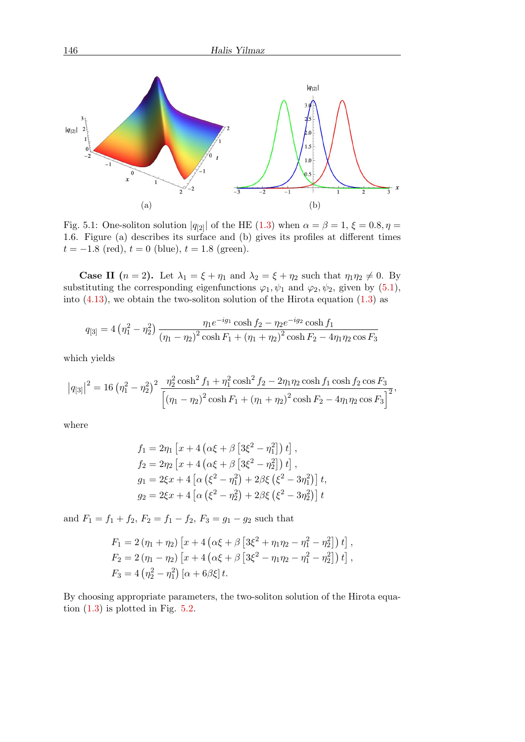<span id="page-10-0"></span>

Fig. 5.1: One-soliton solution  $|q_{2}|$  of the HE [\(1.3\)](#page-1-0) when  $\alpha = \beta = 1, \xi = 0.8, \eta =$ 1.6. Figure (a) describes its surface and (b) gives its profiles at different times  $t = -1.8$  (red),  $t = 0$  (blue),  $t = 1.8$  (green).

**Case II**  $(n = 2)$ . Let  $\lambda_1 = \xi + \eta_1$  and  $\lambda_2 = \xi + \eta_2$  such that  $\eta_1 \eta_2 \neq 0$ . By substituting the corresponding eigenfunctions  $\varphi_1, \psi_1$  and  $\varphi_2, \psi_2$ , given by [\(5.1\)](#page-9-1), into  $(4.13)$ , we obtain the two-soliton solution of the Hirota equation  $(1.3)$  as

$$
q_{[3]} = 4\left(\eta_1^2 - \eta_2^2\right) \frac{\eta_1 e^{-ig_1} \cosh f_2 - \eta_2 e^{-ig_2} \cosh f_1}{\left(\eta_1 - \eta_2\right)^2 \cosh F_1 + \left(\eta_1 + \eta_2\right)^2 \cosh F_2 - 4\eta_1 \eta_2 \cos F_3}
$$

which yields

$$
\left|q_{[3]}\right|^2 = 16 \left(\eta_1^2 - \eta_2^2\right)^2 \frac{\eta_2^2 \cosh^2 f_1 + \eta_1^2 \cosh^2 f_2 - 2\eta_1 \eta_2 \cosh f_1 \cosh f_2 \cos F_3}{\left[\left(\eta_1 - \eta_2\right)^2 \cosh F_1 + \left(\eta_1 + \eta_2\right)^2 \cosh F_2 - 4\eta_1 \eta_2 \cos F_3\right]^2},
$$

where

$$
f_1 = 2\eta_1 \left[ x + 4 \left( \alpha \xi + \beta \left[ 3\xi^2 - \eta_1^2 \right] \right) t \right],
$$
  
\n
$$
f_2 = 2\eta_2 \left[ x + 4 \left( \alpha \xi + \beta \left[ 3\xi^2 - \eta_2^2 \right] \right) t \right],
$$
  
\n
$$
g_1 = 2\xi x + 4 \left[ \alpha \left( \xi^2 - \eta_1^2 \right) + 2\beta \xi \left( \xi^2 - 3\eta_1^2 \right) \right] t,
$$
  
\n
$$
g_2 = 2\xi x + 4 \left[ \alpha \left( \xi^2 - \eta_2^2 \right) + 2\beta \xi \left( \xi^2 - 3\eta_2^2 \right) \right] t
$$

and  $F_1 = f_1 + f_2$ ,  $F_2 = f_1 - f_2$ ,  $F_3 = g_1 - g_2$  such that

$$
F_1 = 2(\eta_1 + \eta_2) [x + 4(\alpha\xi + \beta [3\xi^2 + \eta_1\eta_2 - \eta_1^2 - \eta_2^2]) t],
$$
  
\n
$$
F_2 = 2(\eta_1 - \eta_2) [x + 4(\alpha\xi + \beta [3\xi^2 - \eta_1\eta_2 - \eta_1^2 - \eta_2^2]) t],
$$
  
\n
$$
F_3 = 4(\eta_2^2 - \eta_1^2) [\alpha + 6\beta\xi] t.
$$

By choosing appropriate parameters, the two-soliton solution of the Hirota equation  $(1.3)$  is plotted in Fig. [5.2.](#page-11-0)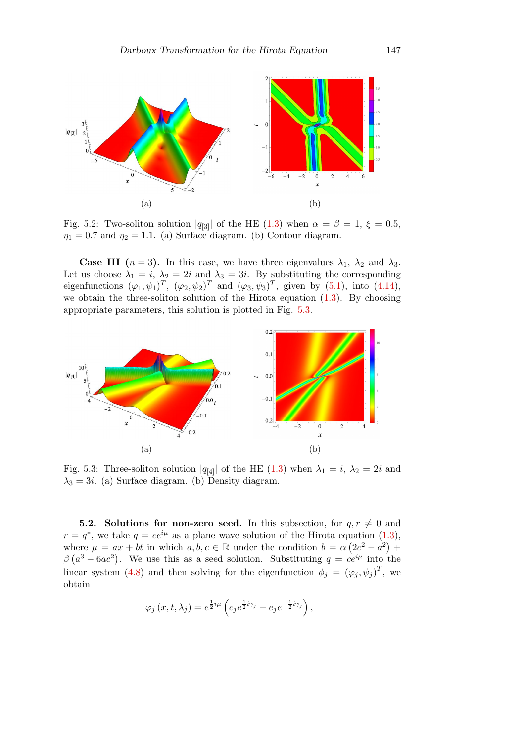<span id="page-11-0"></span>

Fig. 5.2: Two-soliton solution  $|q_{3}|$  of the HE [\(1.3\)](#page-1-0) when  $\alpha = \beta = 1, \xi = 0.5$ ,  $\eta_1 = 0.7$  and  $\eta_2 = 1.1$ . (a) Surface diagram. (b) Contour diagram.

**Case III**  $(n = 3)$ . In this case, we have three eigenvalues  $\lambda_1$ ,  $\lambda_2$  and  $\lambda_3$ . Let us choose  $\lambda_1 = i$ ,  $\lambda_2 = 2i$  and  $\lambda_3 = 3i$ . By substituting the corresponding eigenfunctions  $(\varphi_1, \psi_1)^T$ ,  $(\varphi_2, \psi_2)^T$  and  $(\varphi_3, \psi_3)^T$ , given by [\(5.1\)](#page-9-1), into [\(4.14\)](#page-9-2), we obtain the three-soliton solution of the Hirota equation [\(1.3\)](#page-1-0). By choosing appropriate parameters, this solution is plotted in Fig. [5.3.](#page-11-1)

<span id="page-11-1"></span>

Fig. 5.3: Three-soliton solution  $|q_{4}|$  of the HE [\(1.3\)](#page-1-0) when  $\lambda_1 = i$ ,  $\lambda_2 = 2i$  and  $\lambda_3 = 3i$ . (a) Surface diagram. (b) Density diagram.

**5.2.** Solutions for non-zero seed. In this subsection, for  $q, r \neq 0$  and  $r = q^*$ , we take  $q = ce^{i\mu}$  as a plane wave solution of the Hirota equation [\(1.3\)](#page-1-0), where  $\mu = ax + bt$  in which  $a, b, c \in \mathbb{R}$  under the condition  $b = \alpha (2c^2 - a^2) +$  $\beta$  ( $a^3 - 6ac^2$ ). We use this as a seed solution. Substituting  $q = ce^{i\mu}$  into the linear system [\(4.8\)](#page-8-3) and then solving for the eigenfunction  $\phi_j = (\varphi_j, \psi_j)^T$ , we obtain

$$
\varphi_j(x,t,\lambda_j) = e^{\frac{1}{2}i\mu} \left( c_j e^{\frac{1}{2}i\gamma_j} + e_j e^{-\frac{1}{2}i\gamma_j} \right),
$$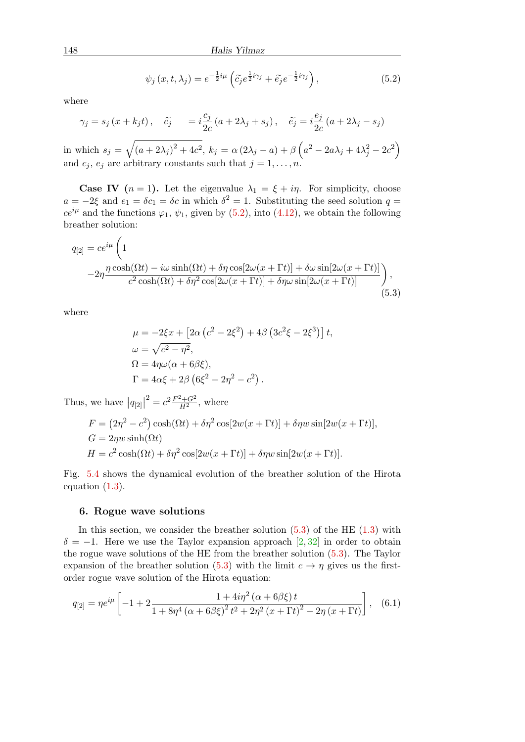<span id="page-12-1"></span>
$$
\psi_j(x, t, \lambda_j) = e^{-\frac{1}{2}i\mu} \left( \tilde{c}_j e^{\frac{1}{2}i\gamma_j} + \tilde{e}_j e^{-\frac{1}{2}i\gamma_j} \right), \tag{5.2}
$$

where

$$
\gamma_j = s_j (x + k_j t), \quad \tilde{c}_j = i \frac{c_j}{2c} (a + 2\lambda_j + s_j), \quad \tilde{e}_j = i \frac{e_j}{2c} (a + 2\lambda_j - s_j)
$$

in which  $s_j = \sqrt{(a + 2\lambda_j)^2 + 4c^2}$ ,  $k_j = \alpha (2\lambda_j - a) + \beta (a^2 - 2a\lambda_j + 4\lambda_j^2 - 2c^2)$ and  $c_j$ ,  $e_j$  are arbitrary constants such that  $j = 1, \ldots, n$ .

**Case IV**  $(n = 1)$ . Let the eigenvalue  $\lambda_1 = \xi + i\eta$ . For simplicity, choose  $a = -2\xi$  and  $e_1 = \delta c_1 = \delta c$  in which  $\delta^2 = 1$ . Substituting the seed solution  $q =$  $ce^{i\mu}$  and the functions  $\varphi_1$ ,  $\psi_1$ , given by [\(5.2\)](#page-12-1), into [\(4.12\)](#page-8-4), we obtain the following breather solution:

$$
q_{[2]} = ce^{i\mu} \left( 1 -2\eta \frac{\eta \cosh(\Omega t) - i\omega \sinh(\Omega t) + \delta \eta \cos[2\omega(x + \Gamma t)] + \delta \omega \sin[2\omega(x + \Gamma t)]}{c^2 \cosh(\Omega t) + \delta \eta^2 \cos[2\omega(x + \Gamma t)] + \delta \eta \omega \sin[2\omega(x + \Gamma t)]} \right),
$$
\n(5.3)

where

<span id="page-12-2"></span>
$$
\mu = -2\xi x + \left[2\alpha \left(c^2 - 2\xi^2\right) + 4\beta \left(3c^2\xi - 2\xi^3\right)\right]t,
$$
  
\n
$$
\omega = \sqrt{c^2 - \eta^2},
$$
  
\n
$$
\Omega = 4\eta \omega (\alpha + 6\beta \xi),
$$
  
\n
$$
\Gamma = 4\alpha \xi + 2\beta \left(6\xi^2 - 2\eta^2 - c^2\right).
$$

Thus, we have  $|q_{[2]}|^2 = c^2 \frac{F^2 + G^2}{H^2}$ , where

$$
F = (2\eta^2 - c^2)\cosh(\Omega t) + \delta\eta^2\cos[2w(x + \Gamma t)] + \delta\eta w\sin[2w(x + \Gamma t)],
$$
  
\n
$$
G = 2\eta w\sinh(\Omega t)
$$
  
\n
$$
H = c^2\cosh(\Omega t) + \delta\eta^2\cos[2w(x + \Gamma t)] + \delta\eta w\sin[2w(x + \Gamma t)].
$$

Fig. [5.4](#page-13-0) shows the dynamical evolution of the breather solution of the Hirota equation [\(1.3\)](#page-1-0).

#### <span id="page-12-0"></span>6. Rogue wave solutions

In this section, we consider the breather solution  $(5.3)$  of the HE  $(1.3)$  with  $\delta = -1$ . Here we use the Taylor expansion approach [\[2,](#page-14-10) [32\]](#page-16-7) in order to obtain the rogue wave solutions of the HE from the breather solution [\(5.3\)](#page-12-2). The Taylor expansion of the breather solution [\(5.3\)](#page-12-2) with the limit  $c \to \eta$  gives us the firstorder rogue wave solution of the Hirota equation:

<span id="page-12-3"></span>
$$
q_{[2]} = \eta e^{i\mu} \left[ -1 + 2 \frac{1 + 4i\eta^2 (\alpha + 6\beta \xi) t}{1 + 8\eta^4 (\alpha + 6\beta \xi)^2 t^2 + 2\eta^2 (x + \Gamma t)^2 - 2\eta (x + \Gamma t)} \right], \quad (6.1)
$$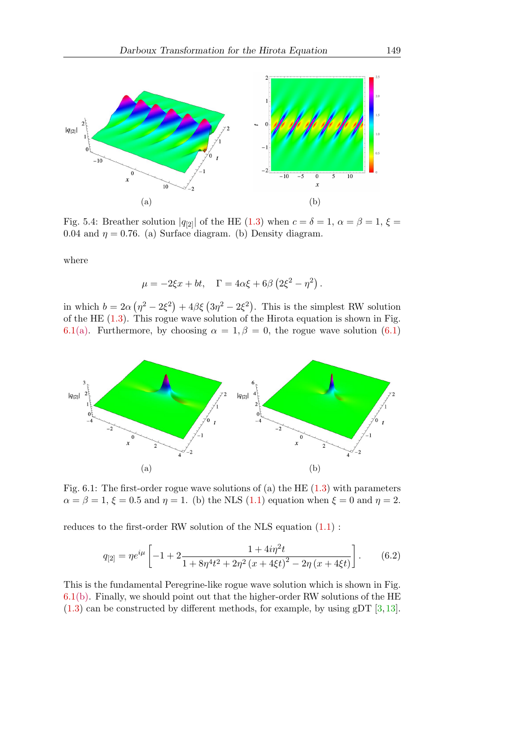<span id="page-13-0"></span>

Fig. 5.4: Breather solution  $|q_{22}|$  of the HE [\(1.3\)](#page-1-0) when  $c = \delta = 1$ ,  $\alpha = \beta = 1$ ,  $\xi =$ 0.04 and  $\eta = 0.76$ . (a) Surface diagram. (b) Density diagram.

where

$$
\mu = -2\xi x + bt, \quad \Gamma = 4\alpha \xi + 6\beta \left(2\xi^2 - \eta^2\right).
$$

in which  $b = 2\alpha (\eta^2 - 2\xi^2) + 4\beta \xi (3\eta^2 - 2\xi^2)$ . This is the simplest RW solution of the HE [\(1.3\)](#page-1-0). This rogue wave solution of the Hirota equation is shown in Fig. [6.1\(](#page-13-1)a). Furthermore, by choosing  $\alpha = 1, \beta = 0$ , the rogue wave solution [\(6.1\)](#page-12-3)

<span id="page-13-1"></span>

Fig. 6.1: The first-order rogue wave solutions of (a) the HE [\(1.3\)](#page-1-0) with parameters  $\alpha = \beta = 1, \xi = 0.5$  and  $\eta = 1$ . (b) the NLS [\(1.1\)](#page-0-2) equation when  $\xi = 0$  and  $\eta = 2$ .

reduces to the first-order RW solution of the NLS equation [\(1.1\)](#page-0-2) :

$$
q_{[2]} = \eta e^{i\mu} \left[ -1 + 2 \frac{1 + 4i\eta^2 t}{1 + 8\eta^4 t^2 + 2\eta^2 (x + 4\xi t)^2 - 2\eta (x + 4\xi t)} \right].
$$
 (6.2)

This is the fundamental Peregrine-like rogue wave solution which is shown in Fig. [6.1\(](#page-13-1)b). Finally, we should point out that the higher-order RW solutions of the HE  $(1.3)$  can be constructed by different methods, for example, by using gDT  $[3,13]$  $[3,13]$ .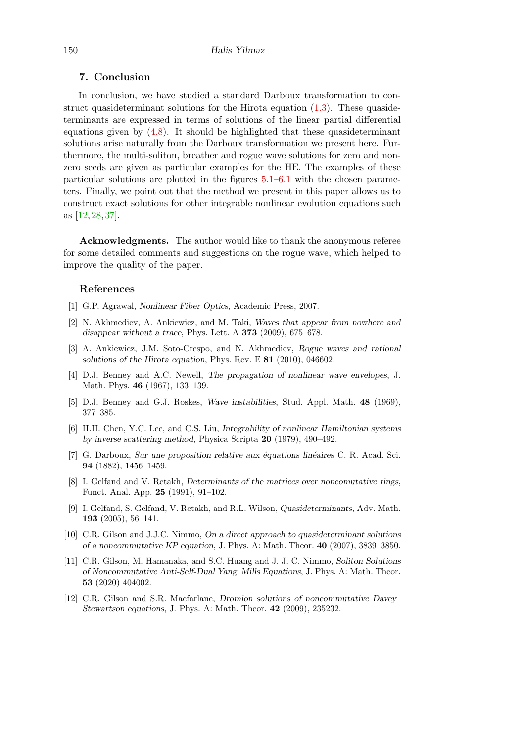#### <span id="page-14-11"></span>7. Conclusion

In conclusion, we have studied a standard Darboux transformation to construct quasideterminant solutions for the Hirota equation [\(1.3\)](#page-1-0). These quasideterminants are expressed in terms of solutions of the linear partial differential equations given by [\(4.8\)](#page-8-3). It should be highlighted that these quasideterminant solutions arise naturally from the Darboux transformation we present here. Furthermore, the multi-soliton, breather and rogue wave solutions for zero and nonzero seeds are given as particular examples for the HE. The examples of these particular solutions are plotted in the figures [5.1–](#page-10-0)[6.1](#page-13-1) with the chosen parameters. Finally, we point out that the method we present in this paper allows us to construct exact solutions for other integrable nonlinear evolution equations such as [\[12,](#page-14-12) [28,](#page-15-17) [37\]](#page-16-11).

Acknowledgments. The author would like to thank the anonymous referee for some detailed comments and suggestions on the rogue wave, which helped to improve the quality of the paper.

#### References

- <span id="page-14-3"></span>[1] G.P. Agrawal, Nonlinear Fiber Optics, Academic Press, 2007.
- <span id="page-14-10"></span>[2] N. Akhmediev, A. Ankiewicz, and M. Taki, Waves that appear from nowhere and disappear without a trace, Phys. Lett. A 373 (2009), 675–678.
- <span id="page-14-4"></span>[3] A. Ankiewicz, J.M. Soto-Crespo, and N. Akhmediev, Rogue waves and rational solutions of the Hirota equation, Phys. Rev. E 81 (2010), 046602.
- <span id="page-14-0"></span>[4] D.J. Benney and A.C. Newell, The propagation of nonlinear wave envelopes, J. Math. Phys. 46 (1967), 133–139.
- <span id="page-14-1"></span>[5] D.J. Benney and G.J. Roskes, Wave instabilities, Stud. Appl. Math. 48 (1969), 377–385.
- <span id="page-14-2"></span>[6] H.H. Chen, Y.C. Lee, and C.S. Liu, Integrability of nonlinear Hamiltonian systems by inverse scattering method, Physica Scripta 20 (1979), 490–492.
- <span id="page-14-5"></span> $[7]$  G. Darboux, Sur une proposition relative aux équations linéaires C. R. Acad. Sci. 94 (1882), 1456–1459.
- <span id="page-14-6"></span>[8] I. Gelfand and V. Retakh, Determinants of the matrices over noncomutative rings, Funct. Anal. App. 25 (1991), 91–102.
- <span id="page-14-7"></span>[9] I. Gelfand, S. Gelfand, V. Retakh, and R.L. Wilson, Quasideterminants, Adv. Math. 193 (2005), 56–141.
- <span id="page-14-8"></span>[10] C.R. Gilson and J.J.C. Nimmo, On a direct approach to quasideterminant solutions of a noncommutative KP equation, J. Phys. A: Math. Theor. 40 (2007), 3839–3850.
- <span id="page-14-9"></span>[11] C.R. Gilson, M. Hamanaka, and S.C. Huang and J. J. C. Nimmo, Soliton Solutions of Noncommutative Anti-Self-Dual Yang–Mills Equations, J. Phys. A: Math. Theor. 53 (2020) 404002.
- <span id="page-14-12"></span>[12] C.R. Gilson and S.R. Macfarlane, Dromion solutions of noncommutative Davey– Stewartson equations, J. Phys. A: Math. Theor. 42 (2009), 235232.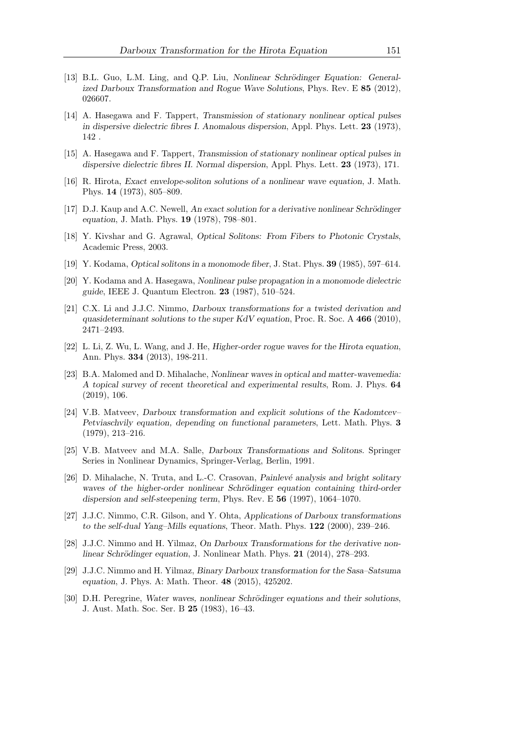- <span id="page-15-15"></span>[13] B.L. Guo, L.M. Ling, and Q.P. Liu, Nonlinear Schrödinger Equation: Generalized Darboux Transformation and Rogue Wave Solutions, Phys. Rev. E 85 (2012), 026607.
- <span id="page-15-0"></span>[14] A. Hasegawa and F. Tappert, Transmission of stationary nonlinear optical pulses in dispersive dielectric fibres I. Anomalous dispersion, Appl. Phys. Lett. 23 (1973), 142 .
- <span id="page-15-1"></span>[15] A. Hasegawa and F. Tappert, Transmission of stationary nonlinear optical pulses in dispersive dielectric fibres II. Normal dispersion, Appl. Phys. Lett. 23 (1973), 171.
- <span id="page-15-6"></span>[16] R. Hirota, Exact envelope-soliton solutions of a nonlinear wave equation, J. Math. Phys. 14 (1973), 805–809.
- <span id="page-15-5"></span>[17] D.J. Kaup and A.C. Newell, An exact solution for a derivative nonlinear Schrödinger equation, J. Math. Phys. 19 (1978), 798–801.
- <span id="page-15-2"></span>[18] Y. Kivshar and G. Agrawal, Optical Solitons: From Fibers to Photonic Crystals, Academic Press, 2003.
- <span id="page-15-3"></span>[19] Y. Kodama, Optical solitons in a monomode fiber, J. Stat. Phys. 39 (1985), 597–614.
- <span id="page-15-4"></span>[20] Y. Kodama and A. Hasegawa, Nonlinear pulse propagation in a monomode dielectric guide, IEEE J. Quantum Electron. 23 (1987), 510–524.
- <span id="page-15-12"></span>[21] C.X. Li and J.J.C. Nimmo, Darboux transformations for a twisted derivation and quasideterminant solutions to the super KdV equation, Proc. R. Soc. A 466 (2010), 2471–2493.
- <span id="page-15-9"></span>[22] L. Li, Z. Wu, L. Wang, and J. He, Higher-order rogue waves for the Hirota equation, Ann. Phys. 334 (2013), 198-211.
- <span id="page-15-7"></span>[23] B.A. Malomed and D. Mihalache, Nonlinear waves in optical and matter-wavemedia: A topical survey of recent theoretical and experimental results, Rom. J. Phys. 64 (2019), 106.
- <span id="page-15-10"></span>[24] V.B. Matveev, Darboux transformation and explicit solutions of the Kadomtcev– Petviaschvily equation, depending on functional parameters, Lett. Math. Phys. 3 (1979), 213–216.
- <span id="page-15-11"></span>[25] V.B. Matveev and M.A. Salle, Darboux Transformations and Solitons. Springer Series in Nonlinear Dynamics, Springer-Verlag, Berlin, 1991.
- <span id="page-15-8"></span>[26] D. Mihalache, N. Truta, and L.-C. Crasovan, Painlevé analysis and bright solitary waves of the higher-order nonlinear Schrödinger equation containing third-order dispersion and self-steepening term, Phys. Rev. E 56 (1997), 1064–1070.
- <span id="page-15-16"></span>[27] J.J.C. Nimmo, C.R. Gilson, and Y. Ohta, Applications of Darboux transformations to the self-dual Yang–Mills equations, Theor. Math. Phys. 122 (2000), 239–246.
- <span id="page-15-17"></span>[28] J.J.C. Nimmo and H. Yilmaz, On Darboux Transformations for the derivative nonlinear Schrödinger equation, J. Nonlinear Math. Phys. 21 (2014), 278–293.
- <span id="page-15-13"></span>[29] J.J.C. Nimmo and H. Yilmaz, Binary Darboux transformation for the Sasa–Satsuma equation, J. Phys. A: Math. Theor. 48 (2015), 425202.
- <span id="page-15-14"></span>[30] D.H. Peregrine, Water waves, nonlinear Schrödinger equations and their solutions, J. Aust. Math. Soc. Ser. B 25 (1983), 16–43.